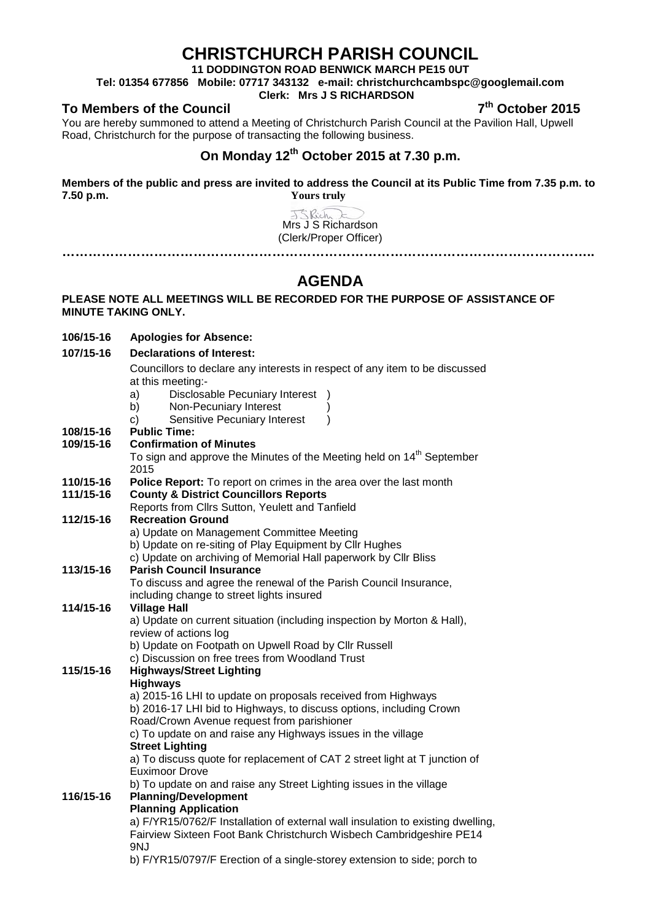# **CHRISTCHURCH PARISH COUNCIL**

**11 DODDINGTON ROAD BENWICK MARCH PE15 0UT**

**Tel: 01354 677856 Mobile: 07717 343132 e-mail: christchurchcambspc@googlemail.com**

### **Clerk: Mrs J S RICHARDSON**

**To Members of the Council 7th October 2015**

**106/15-16 Apologies for Absence: 107/15-16 Declarations of Interest:**

You are hereby summoned to attend a Meeting of Christchurch Parish Council at the Pavilion Hall, Upwell Road, Christchurch for the purpose of transacting the following business.

## **On Monday 12th October 2015 at 7.30 p.m.**

**Members of the public and press are invited to address the Council at its Public Time from 7.35 p.m. to 7.50 p.m. Yours truly**

J.S. Rich Mrs J S Richardson (Clerk/Proper Officer) **…………………………………………………………………………………………………………..**

# **AGENDA**

### **PLEASE NOTE ALL MEETINGS WILL BE RECORDED FOR THE PURPOSE OF ASSISTANCE OF MINUTE TAKING ONLY.**

|           | Councillors to declare any interests in respect of any item to be discussed                                    |  |  |
|-----------|----------------------------------------------------------------------------------------------------------------|--|--|
|           | at this meeting:-                                                                                              |  |  |
|           | <b>Disclosable Pecuniary Interest</b><br>a)                                                                    |  |  |
|           | Non-Pecuniary Interest<br>b)                                                                                   |  |  |
|           | Sensitive Pecuniary Interest<br>C)<br>$\lambda$                                                                |  |  |
| 108/15-16 | <b>Public Time:</b>                                                                                            |  |  |
| 109/15-16 | <b>Confirmation of Minutes</b>                                                                                 |  |  |
|           | To sign and approve the Minutes of the Meeting held on 14 <sup>th</sup> September                              |  |  |
|           | 2015                                                                                                           |  |  |
| 110/15-16 | Police Report: To report on crimes in the area over the last month                                             |  |  |
| 111/15-16 | <b>County &amp; District Councillors Reports</b>                                                               |  |  |
|           | Reports from Cllrs Sutton, Yeulett and Tanfield                                                                |  |  |
| 112/15-16 | <b>Recreation Ground</b>                                                                                       |  |  |
|           | a) Update on Management Committee Meeting                                                                      |  |  |
|           | b) Update on re-siting of Play Equipment by Cllr Hughes                                                        |  |  |
| 113/15-16 | c) Update on archiving of Memorial Hall paperwork by Cllr Bliss<br><b>Parish Council Insurance</b>             |  |  |
|           | To discuss and agree the renewal of the Parish Council Insurance,                                              |  |  |
|           | including change to street lights insured                                                                      |  |  |
| 114/15-16 | <b>Village Hall</b>                                                                                            |  |  |
|           | a) Update on current situation (including inspection by Morton & Hall),                                        |  |  |
|           | review of actions log                                                                                          |  |  |
|           | b) Update on Footpath on Upwell Road by Cllr Russell                                                           |  |  |
|           | c) Discussion on free trees from Woodland Trust                                                                |  |  |
| 115/15-16 | <b>Highways/Street Lighting</b>                                                                                |  |  |
|           | <b>Highways</b>                                                                                                |  |  |
|           | a) 2015-16 LHI to update on proposals received from Highways                                                   |  |  |
|           | b) 2016-17 LHI bid to Highways, to discuss options, including Crown                                            |  |  |
|           | Road/Crown Avenue request from parishioner                                                                     |  |  |
|           | c) To update on and raise any Highways issues in the village                                                   |  |  |
|           | <b>Street Lighting</b>                                                                                         |  |  |
|           | a) To discuss quote for replacement of CAT 2 street light at T junction of                                     |  |  |
|           | <b>Euximoor Drove</b>                                                                                          |  |  |
|           | b) To update on and raise any Street Lighting issues in the village                                            |  |  |
| 116/15-16 | <b>Planning/Development</b>                                                                                    |  |  |
|           | <b>Planning Application</b><br>a) F/YR15/0762/F Installation of external wall insulation to existing dwelling, |  |  |
|           | Fairview Sixteen Foot Bank Christchurch Wisbech Cambridgeshire PE14                                            |  |  |
|           | 9NJ                                                                                                            |  |  |
|           | b) F/YR15/0797/F Erection of a single-storey extension to side; porch to                                       |  |  |
|           |                                                                                                                |  |  |